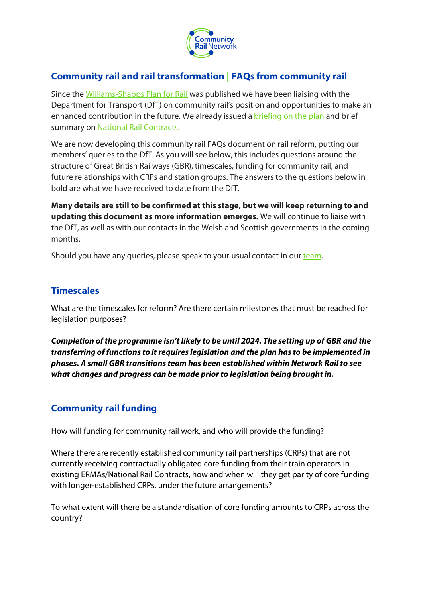

# **Community rail and rail transformation | FAQs from community rail**

Since th[e Williams-Shapps Plan for Rail](https://urlsand.esvalabs.com/?u=https%3A%2F%2Fcommunityrail.us3.list-manage.com%2Ftrack%2Fclick%3Fu%3D022070f554c80046b4597d389%26id%3Db966954c6f%26e%3D980de00882&e=8e7fa9ab&h=63c245ea&f=n&p=y) was published we have been liaising with the Department for Transport (DfT) on community rail's position and opportunities to make an enhanced contribution in the future. We already issued a [briefing on the plan](https://urlsand.esvalabs.com/?u=https%3A%2F%2Fcommunityrail.us3.list-manage.com%2Ftrack%2Fclick%3Fu%3D022070f554c80046b4597d389%26id%3Daa140e245d%26e%3D980de00882&e=8e7fa9ab&h=a2e88d80&f=n&p=y) and brief summary on [National Rail Contracts.](https://urlsand.esvalabs.com/?u=https%3A%2F%2Fcommunityrail.us3.list-manage.com%2Ftrack%2Fclick%3Fu%3D022070f554c80046b4597d389%26id%3D407cf2f265%26e%3D980de00882&e=8e7fa9ab&h=32abb3c5&f=n&p=y)

We are now developing this community rail FAQs document on rail reform, putting our members' queries to the DfT. As you will see below, this includes questions around the structure of Great British Railways (GBR), timescales, funding for community rail, and future relationships with CRPs and station groups. The answers to the questions below in bold are what we have received to date from the DfT.

**Many details are still to be confirmed at this stage, but we will keep returning to and updating this document as more information emerges.** We will continue to liaise with the DfT, as well as with our contacts in the Welsh and Scottish governments in the coming months.

Should you have any queries, please speak to your usual contact in our [team.](https://urlsand.esvalabs.com/?u=https%3A%2F%2Fcommunityrail.us3.list-manage.com%2Ftrack%2Fclick%3Fu%3D022070f554c80046b4597d389%26id%3De31c8abded%26e%3D980de00882&e=8e7fa9ab&h=6e37cb00&f=n&p=y)

## **Timescales**

What are the timescales for reform? Are there certain milestones that must be reached for legislation purposes?

*Completion of the programme isn't likely to be until 2024. The setting up of GBR and the transferring of functions to it requires legislation and the plan has to be implemented in phases. A small GBR transitions team has been established within Network Rail to see what changes and progress can be made prior to legislation being brought in.* 

# **Community rail funding**

How will funding for community rail work, and who will provide the funding?

Where there are recently established community rail partnerships (CRPs) that are not currently receiving contractually obligated core funding from their train operators in existing ERMAs/National Rail Contracts, how and when will they get parity of core funding with longer-established CRPs, under the future arrangements?

To what extent will there be a standardisation of core funding amounts to CRPs across the country?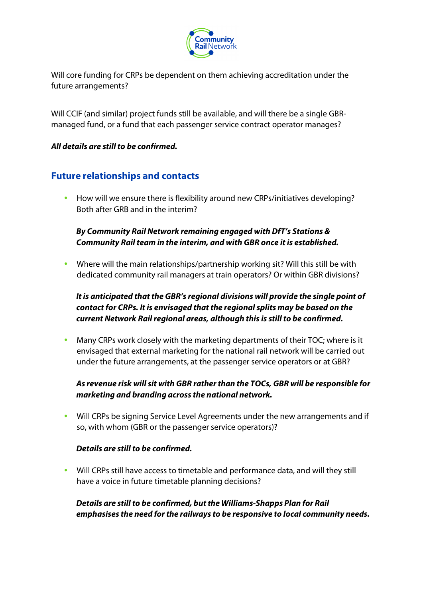

Will core funding for CRPs be dependent on them achieving accreditation under the future arrangements?

Will CCIF (and similar) project funds still be available, and will there be a single GBRmanaged fund, or a fund that each passenger service contract operator manages?

### *All details are still to be confirmed.*

# **Future relationships and contacts**

 How will we ensure there is flexibility around new CRPs/initiatives developing? Both after GRB and in the interim?

## *By Community Rail Network remaining engaged with DfT's Stations & Community Rail team in the interim, and with GBR once it is established.*

 Where will the main relationships/partnership working sit? Will this still be with dedicated community rail managers at train operators? Or within GBR divisions?

## *It is anticipated that the GBR's regional divisions will provide the single point of contact for CRPs. It is envisaged that the regional splits may be based on the current Network Rail regional areas, although this is still to be confirmed.*

 Many CRPs work closely with the marketing departments of their TOC; where is it envisaged that external marketing for the national rail network will be carried out under the future arrangements, at the passenger service operators or at GBR?

## *As revenue risk will sit with GBR rather than the TOCs, GBR will be responsible for marketing and branding across the national network.*

 Will CRPs be signing Service Level Agreements under the new arrangements and if so, with whom (GBR or the passenger service operators)?

#### *Details are still to be confirmed.*

 Will CRPs still have access to timetable and performance data, and will they still have a voice in future timetable planning decisions?

*Details are still to be confirmed, but the Williams-Shapps Plan for Rail emphasises the need for the railways to be responsive to local community needs.*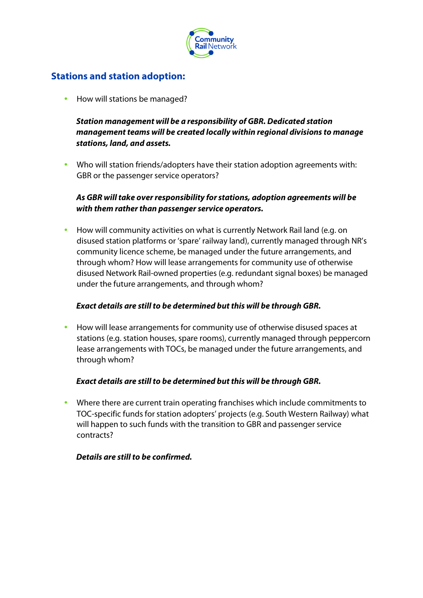

# **Stations and station adoption:**

How will stations be managed?

*Station management will be a responsibility of GBR. Dedicated station management teams will be created locally within regional divisions to manage stations, land, and assets.*

 Who will station friends/adopters have their station adoption agreements with: GBR or the passenger service operators?

### *As GBR will take over responsibility for stations, adoption agreements will be with them rather than passenger service operators.*

 How will community activities on what is currently Network Rail land (e.g. on disused station platforms or 'spare' railway land), currently managed through NR's community licence scheme, be managed under the future arrangements, and through whom? How will lease arrangements for community use of otherwise disused Network Rail-owned properties (e.g. redundant signal boxes) be managed under the future arrangements, and through whom?

### *Exact details are still to be determined but this will be through GBR.*

 How will lease arrangements for community use of otherwise disused spaces at stations (e.g. station houses, spare rooms), currently managed through peppercorn lease arrangements with TOCs, be managed under the future arrangements, and through whom?

#### *Exact details are still to be determined but this will be through GBR.*

 Where there are current train operating franchises which include commitments to TOC-specific funds for station adopters' projects (e.g. South Western Railway) what will happen to such funds with the transition to GBR and passenger service contracts?

#### *Details are still to be confirmed.*